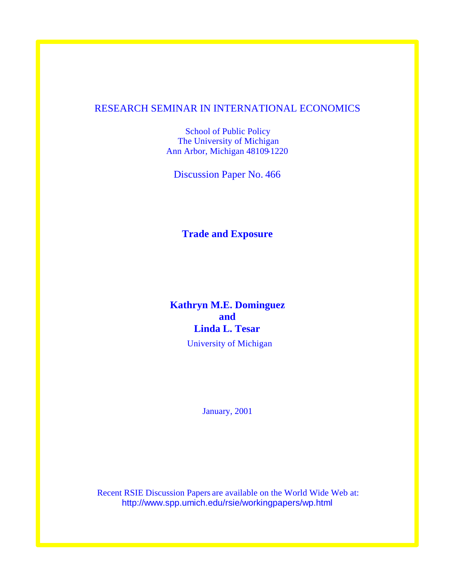# RESEARCH SEMINAR IN INTERNATIONAL ECONOMICS

School of Public Policy The University of Michigan Ann Arbor, Michigan 48109-1220

Discussion Paper No. 466

**Trade and Exposure**

# **Kathryn M.E. Dominguez and Linda L. Tesar**

University of Michigan

January, 2001

Recent RSIE Discussion Papers are available on the World Wide Web at: http://www.spp.umich.edu/rsie/workingpapers/wp.html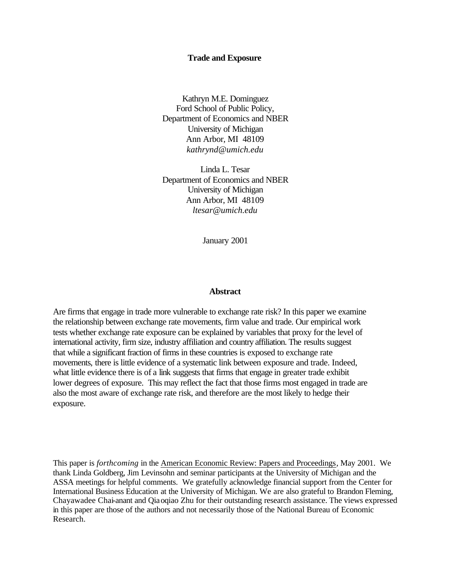#### **Trade and Exposure**

Kathryn M.E. Dominguez Ford School of Public Policy, Department of Economics and NBER University of Michigan Ann Arbor, MI 48109 *kathrynd@umich.edu*

Linda L. Tesar Department of Economics and NBER University of Michigan Ann Arbor, MI 48109 *ltesar@umich.edu*

January 2001

#### **Abstract**

Are firms that engage in trade more vulnerable to exchange rate risk? In this paper we examine the relationship between exchange rate movements, firm value and trade. Our empirical work tests whether exchange rate exposure can be explained by variables that proxy for the level of international activity, firm size, industry affiliation and country affiliation. The results suggest that while a significant fraction of firms in these countries is exposed to exchange rate movements, there is little evidence of a systematic link between exposure and trade. Indeed, what little evidence there is of a link suggests that firms that engage in greater trade exhibit lower degrees of exposure. This may reflect the fact that those firms most engaged in trade are also the most aware of exchange rate risk, and therefore are the most likely to hedge their exposure.

This paper is *forthcoming* in the American Economic Review: Papers and Proceedings, May 2001. We thank Linda Goldberg, Jim Levinsohn and seminar participants at the University of Michigan and the ASSA meetings for helpful comments. We gratefully acknowledge financial support from the Center for International Business Education at the University of Michigan. We are also grateful to Brandon Fleming, Chayawadee Chai-anant and Qiaoqiao Zhu for their outstanding research assistance. The views expressed in this paper are those of the authors and not necessarily those of the National Bureau of Economic Research.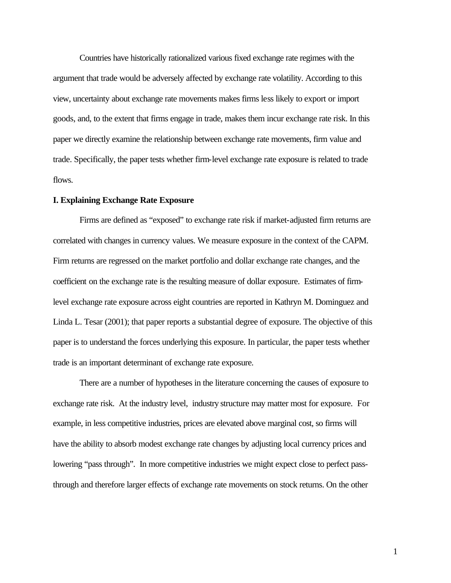Countries have historically rationalized various fixed exchange rate regimes with the argument that trade would be adversely affected by exchange rate volatility. According to this view, uncertainty about exchange rate movements makes firms less likely to export or import goods, and, to the extent that firms engage in trade, makes them incur exchange rate risk. In this paper we directly examine the relationship between exchange rate movements, firm value and trade. Specifically, the paper tests whether firm-level exchange rate exposure is related to trade flows.

#### **I. Explaining Exchange Rate Exposure**

Firms are defined as "exposed" to exchange rate risk if market-adjusted firm returns are correlated with changes in currency values. We measure exposure in the context of the CAPM. Firm returns are regressed on the market portfolio and dollar exchange rate changes, and the coefficient on the exchange rate is the resulting measure of dollar exposure. Estimates of firmlevel exchange rate exposure across eight countries are reported in Kathryn M. Dominguez and Linda L. Tesar (2001); that paper reports a substantial degree of exposure. The objective of this paper is to understand the forces underlying this exposure. In particular, the paper tests whether trade is an important determinant of exchange rate exposure.

There are a number of hypotheses in the literature concerning the causes of exposure to exchange rate risk. At the industry level, industry structure may matter most for exposure. For example, in less competitive industries, prices are elevated above marginal cost, so firms will have the ability to absorb modest exchange rate changes by adjusting local currency prices and lowering "pass through". In more competitive industries we might expect close to perfect passthrough and therefore larger effects of exchange rate movements on stock returns. On the other

1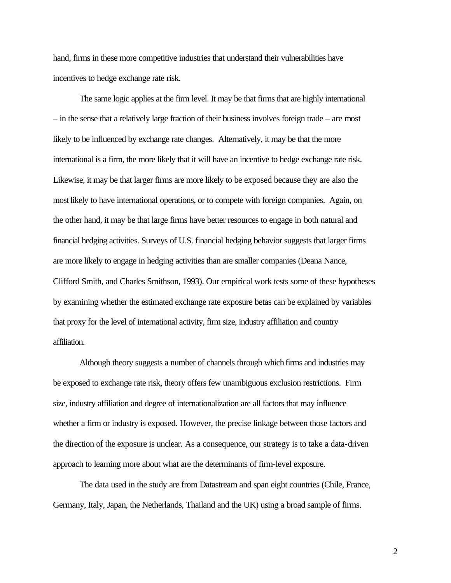hand, firms in these more competitive industries that understand their vulnerabilities have incentives to hedge exchange rate risk.

The same logic applies at the firm level. It may be that firms that are highly international – in the sense that a relatively large fraction of their business involves foreign trade – are most likely to be influenced by exchange rate changes. Alternatively, it may be that the more international is a firm, the more likely that it will have an incentive to hedge exchange rate risk. Likewise, it may be that larger firms are more likely to be exposed because they are also the most likely to have international operations, or to compete with foreign companies. Again, on the other hand, it may be that large firms have better resources to engage in both natural and financial hedging activities. Surveys of U.S. financial hedging behavior suggests that larger firms are more likely to engage in hedging activities than are smaller companies (Deana Nance, Clifford Smith, and Charles Smithson, 1993). Our empirical work tests some of these hypotheses by examining whether the estimated exchange rate exposure betas can be explained by variables that proxy for the level of international activity, firm size, industry affiliation and country affiliation.

Although theory suggests a number of channels through which firms and industries may be exposed to exchange rate risk, theory offers few unambiguous exclusion restrictions. Firm size, industry affiliation and degree of internationalization are all factors that may influence whether a firm or industry is exposed. However, the precise linkage between those factors and the direction of the exposure is unclear. As a consequence, our strategy is to take a data-driven approach to learning more about what are the determinants of firm-level exposure.

The data used in the study are from Datastream and span eight countries (Chile, France, Germany, Italy, Japan, the Netherlands, Thailand and the UK) using a broad sample of firms.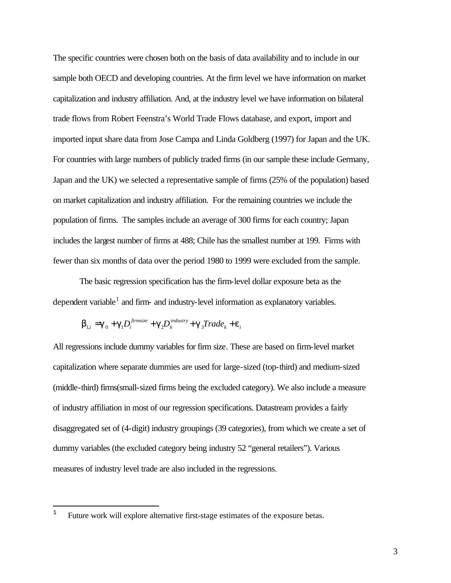The specific countries were chosen both on the basis of data availability and to include in our sample both OECD and developing countries. At the firm level we have information on market capitalization and industry affiliation. And, at the industry level we have information on bilateral trade flows from Robert Feenstra's World Trade Flows database, and export, import and imported input share data from Jose Campa and Linda Goldberg (1997) for Japan and the UK. For countries with large numbers of publicly traded firms (in our sample these include Germany, Japan and the UK) we selected a representative sample of firms (25% of the population) based on market capitalization and industry affiliation. For the remaining countries we include the population of firms. The samples include an average of 300 firms for each country; Japan includes the largest number of firms at 488; Chile has the smallest number at 199. Firms with fewer than six months of data over the period 1980 to 1999 were excluded from the sample.

The basic regression specification has the firm-level dollar exposure beta as the dependent variable<sup>1</sup> and firm- and industry-level information as explanatory variables.

$$
\boldsymbol{b}_{1,i} = \boldsymbol{g}_0 + \boldsymbol{g}_1 D_i^{fimsize} + \boldsymbol{g}_2 D_k^{industry} + \boldsymbol{g}_3 Trade_k + \boldsymbol{e}_i
$$

All regressions include dummy variables for firm size. These are based on firm-level market capitalization where separate dummies are used for large-sized (top-third) and medium-sized (middle-third) firms(small-sized firms being the excluded category). We also include a measure of industry affiliation in most of our regression specifications. Datastream provides a fairly disaggregated set of (4-digit) industry groupings (39 categories), from which we create a set of dummy variables (the excluded category being industry 52 "general retailers"). Various measures of industry level trade are also included in the regressions.

 $\overline{a}$ 

<sup>&</sup>lt;sup>1</sup> Future work will explore alternative first-stage estimates of the exposure betas.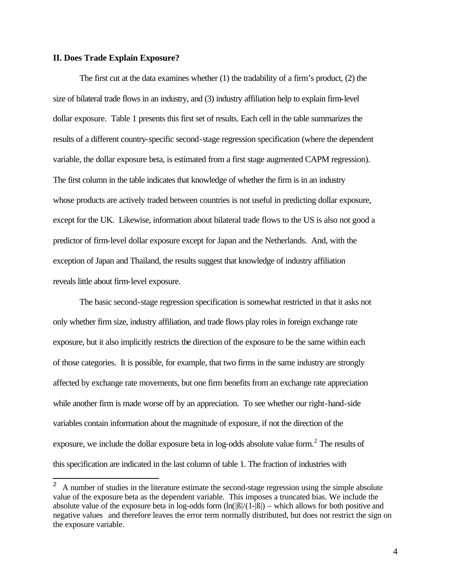## **II. Does Trade Explain Exposure?**

The first cut at the data examines whether (1) the tradability of a firm's product, (2) the size of bilateral trade flows in an industry, and (3) industry affiliation help to explain firm-level dollar exposure. Table 1 presents this first set of results. Each cell in the table summarizes the results of a different country-specific second-stage regression specification (where the dependent variable, the dollar exposure beta, is estimated from a first stage augmented CAPM regression). The first column in the table indicates that knowledge of whether the firm is in an industry whose products are actively traded between countries is not useful in predicting dollar exposure, except for the UK. Likewise, information about bilateral trade flows to the US is also not good a predictor of firm-level dollar exposure except for Japan and the Netherlands. And, with the exception of Japan and Thailand, the results suggest that knowledge of industry affiliation reveals little about firm-level exposure.

The basic second-stage regression specification is somewhat restricted in that it asks not only whether firm size, industry affiliation, and trade flows play roles in foreign exchange rate exposure, but it also implicitly restricts the direction of the exposure to be the same within each of those categories. It is possible, for example, that two firms in the same industry are strongly affected by exchange rate movements, but one firm benefits from an exchange rate appreciation while another firm is made worse off by an appreciation. To see whether our right-hand-side variables contain information about the magnitude of exposure, if not the direction of the exposure, we include the dollar exposure beta in log-odds absolute value form. $2$  The results of this specification are indicated in the last column of table 1. The fraction of industries with

 $\overline{a}$ <sup>2</sup> A number of studies in the literature estimate the second-stage regression using the simple absolute value of the exposure beta as the dependent variable. This imposes a truncated bias. We include the absolute value of the exposure beta in log-odds form  $(ln(|B|/(1-|B|)) -$  which allows for both positive and negative values and therefore leaves the error term normally distributed, but does not restrict the sign on the exposure variable.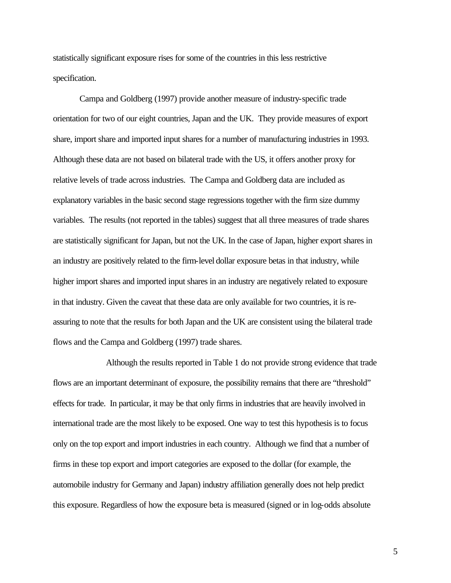statistically significant exposure rises for some of the countries in this less restrictive specification.

Campa and Goldberg (1997) provide another measure of industry-specific trade orientation for two of our eight countries, Japan and the UK. They provide measures of export share, import share and imported input shares for a number of manufacturing industries in 1993. Although these data are not based on bilateral trade with the US, it offers another proxy for relative levels of trade across industries. The Campa and Goldberg data are included as explanatory variables in the basic second stage regressions together with the firm size dummy variables. The results (not reported in the tables) suggest that all three measures of trade shares are statistically significant for Japan, but not the UK. In the case of Japan, higher export shares in an industry are positively related to the firm-level dollar exposure betas in that industry, while higher import shares and imported input shares in an industry are negatively related to exposure in that industry. Given the caveat that these data are only available for two countries, it is reassuring to note that the results for both Japan and the UK are consistent using the bilateral trade flows and the Campa and Goldberg (1997) trade shares.

Although the results reported in Table 1 do not provide strong evidence that trade flows are an important determinant of exposure, the possibility remains that there are "threshold" effects for trade. In particular, it may be that only firms in industries that are heavily involved in international trade are the most likely to be exposed. One way to test this hypothesis is to focus only on the top export and import industries in each country. Although we find that a number of firms in these top export and import categories are exposed to the dollar (for example, the automobile industry for Germany and Japan) industry affiliation generally does not help predict this exposure. Regardless of how the exposure beta is measured (signed or in log-odds absolute

5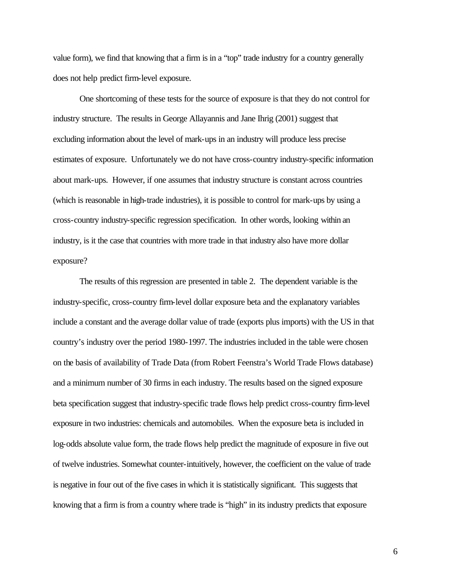value form), we find that knowing that a firm is in a "top" trade industry for a country generally does not help predict firm-level exposure.

One shortcoming of these tests for the source of exposure is that they do not control for industry structure. The results in George Allayannis and Jane Ihrig (2001) suggest that excluding information about the level of mark-ups in an industry will produce less precise estimates of exposure. Unfortunately we do not have cross-country industry-specific information about mark-ups. However, if one assumes that industry structure is constant across countries (which is reasonable in high-trade industries), it is possible to control for mark-ups by using a cross-country industry-specific regression specification. In other words, looking within an industry, is it the case that countries with more trade in that industry also have more dollar exposure?

The results of this regression are presented in table 2. The dependent variable is the industry-specific, cross-country firm-level dollar exposure beta and the explanatory variables include a constant and the average dollar value of trade (exports plus imports) with the US in that country's industry over the period 1980-1997. The industries included in the table were chosen on the basis of availability of Trade Data (from Robert Feenstra's World Trade Flows database) and a minimum number of 30 firms in each industry. The results based on the signed exposure beta specification suggest that industry-specific trade flows help predict cross-country firm-level exposure in two industries: chemicals and automobiles. When the exposure beta is included in log-odds absolute value form, the trade flows help predict the magnitude of exposure in five out of twelve industries. Somewhat counter-intuitively, however, the coefficient on the value of trade is negative in four out of the five cases in which it is statistically significant. This suggests that knowing that a firm is from a country where trade is "high" in its industry predicts that exposure

6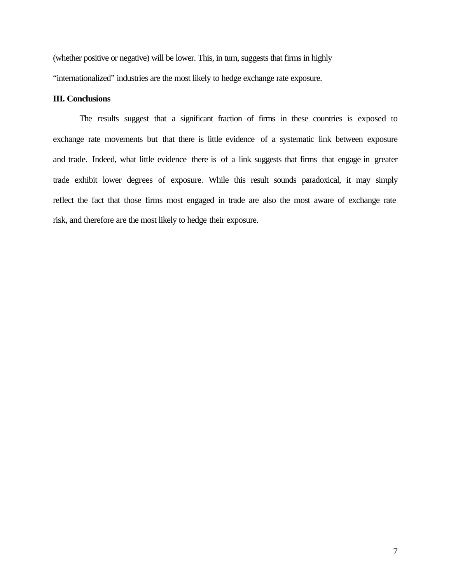(whether positive or negative) will be lower. This, in turn, suggests that firms in highly "internationalized" industries are the most likely to hedge exchange rate exposure.

# **III. Conclusions**

The results suggest that a significant fraction of firms in these countries is exposed to exchange rate movements but that there is little evidence of a systematic link between exposure and trade. Indeed, what little evidence there is of a link suggests that firms that engage in greater trade exhibit lower degrees of exposure. While this result sounds paradoxical, it may simply reflect the fact that those firms most engaged in trade are also the most aware of exchange rate risk, and therefore are the most likely to hedge their exposure.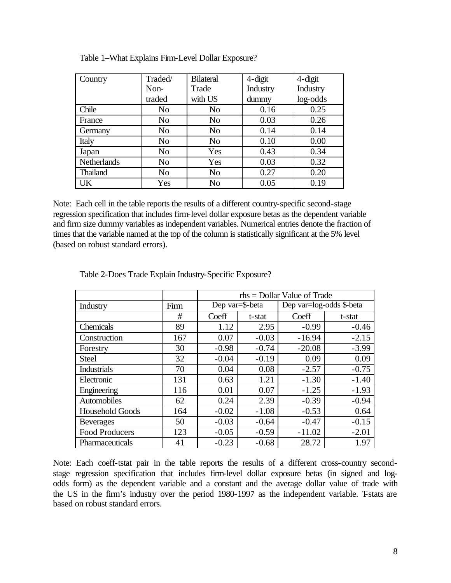| Country            | Traded/        | <b>Bilateral</b> | $4$ -digit | $4$ -digit |
|--------------------|----------------|------------------|------------|------------|
|                    | Non-           | Trade            | Industry   | Industry   |
|                    | traded         | with US          | dummy      | log-odds   |
| Chile              | N <sub>0</sub> | N <sub>0</sub>   | 0.16       | 0.25       |
| France             | N <sub>o</sub> | N <sub>0</sub>   | 0.03       | 0.26       |
| Germany            | N <sub>0</sub> | N <sub>0</sub>   | 0.14       | 0.14       |
| Italy              | N <sub>0</sub> | N <sub>o</sub>   | 0.10       | 0.00       |
| Japan              | N <sub>o</sub> | Yes              | 0.43       | 0.34       |
| <b>Netherlands</b> | N <sub>o</sub> | Yes              | 0.03       | 0.32       |
| <b>Thailand</b>    | N <sub>0</sub> | N <sub>o</sub>   | 0.27       | 0.20       |
| UK                 | Yes            | N <sub>o</sub>   | 0.05       | 0.19       |

Note: Each cell in the table reports the results of a different country-specific second-stage regression specification that includes firm-level dollar exposure betas as the dependent variable and firm size dummy variables as independent variables. Numerical entries denote the fraction of times that the variable named at the top of the column is statistically significant at the 5% level (based on robust standard errors).

|                        |      | $rhs =$ Dollar Value of Trade |         |                          |         |  |
|------------------------|------|-------------------------------|---------|--------------------------|---------|--|
| Industry               | Firm | Dep var=\$-beta               |         | Dep var=log-odds \$-beta |         |  |
|                        | #    | Coeff                         | t-stat  | Coeff                    | t-stat  |  |
| Chemicals              | 89   | 1.12                          | 2.95    | $-0.99$                  | $-0.46$ |  |
| Construction           | 167  | 0.07                          | $-0.03$ | $-16.94$                 | $-2.15$ |  |
| Forestry               | 30   | $-0.98$                       | $-0.74$ | $-20.08$                 | $-3.99$ |  |
| <b>Steel</b>           | 32   | $-0.04$                       | $-0.19$ | 0.09                     | 0.09    |  |
| <b>Industrials</b>     | 70   | 0.04                          | 0.08    | $-2.57$                  | $-0.75$ |  |
| Electronic             | 131  | 0.63                          | 1.21    | $-1.30$                  | $-1.40$ |  |
| Engineering            | 116  | 0.01                          | 0.07    | $-1.25$                  | $-1.93$ |  |
| Automobiles            | 62   | 0.24                          | 2.39    | $-0.39$                  | $-0.94$ |  |
| <b>Household Goods</b> | 164  | $-0.02$                       | $-1.08$ | $-0.53$                  | 0.64    |  |
| <b>Beverages</b>       | 50   | $-0.03$                       | $-0.64$ | $-0.47$                  | $-0.15$ |  |
| Food Producers         | 123  | $-0.05$                       | $-0.59$ | $-11.02$                 | $-2.01$ |  |
| Pharmaceuticals        | 41   | $-0.23$                       | $-0.68$ | 28.72                    | 1.97    |  |

Table 2-Does Trade Explain Industry-Specific Exposure?

Note: Each coeff-tstat pair in the table reports the results of a different cross-country secondstage regression specification that includes firm-level dollar exposure betas (in signed and logodds form) as the dependent variable and a constant and the average dollar value of trade with the US in the firm's industry over the period 1980-1997 as the independent variable. Tstats are based on robust standard errors.